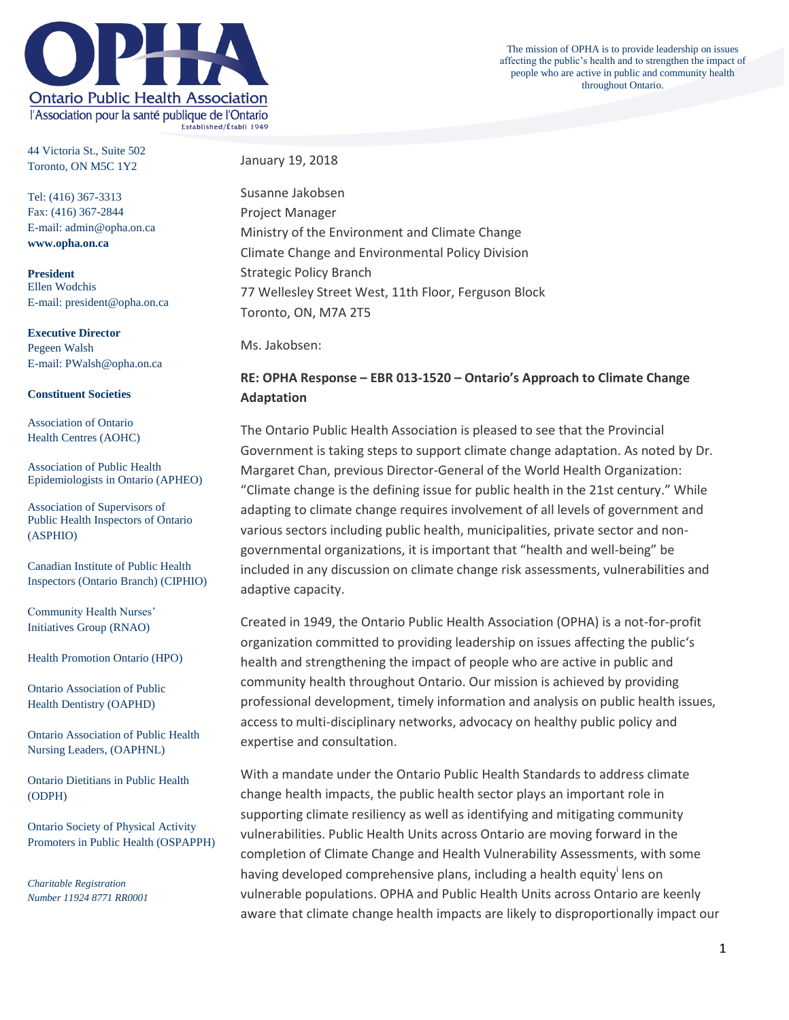

The mission of OPHA is to provide leadership on issues affecting the public's health and to strengthen the impact of people who are active in public and community health throughout Ontario.

44 Victoria St., Suite 502 Toronto, ON M5C 1Y2

Tel: (416) 367-3313 Fax: (416) 367-2844 E-mail: admin@opha.on.ca **www.opha.on.ca**

**President** Ellen Wodchis E-mail: president@opha.on.ca

**Executive Director** Pegeen Walsh E-mail: PWalsh@opha.on.ca

#### **Constituent Societies**

Association of Ontario Health Centres (AOHC)

Association of Public Health Epidemiologists in Ontario (APHEO)

Association of Supervisors of Public Health Inspectors of Ontario (ASPHIO)

Canadian Institute of Public Health Inspectors (Ontario Branch) (CIPHIO)

Community Health Nurses' Initiatives Group (RNAO)

Health Promotion Ontario (HPO)

Ontario Association of Public Health Dentistry (OAPHD)

Ontario Association of Public Health Nursing Leaders, (OAPHNL)

Ontario Dietitians in Public Health (ODPH)

Ontario Society of Physical Activity Promoters in Public Health (OSPAPPH)

*Charitable Registration Number 11924 8771 RR0001* January 19, 2018

Susanne Jakobsen Project Manager Ministry of the Environment and Climate Change Climate Change and Environmental Policy Division Strategic Policy Branch 77 Wellesley Street West, 11th Floor, Ferguson Block Toronto, ON, M7A 2T5

Ms. Jakobsen:

# **RE: OPHA Response – EBR 013-1520 – Ontario's Approach to Climate Change Adaptation**

The Ontario Public Health Association is pleased to see that the Provincial Government is taking steps to support climate change adaptation. As noted by Dr. Margaret Chan, previous Director-General of the World Health Organization: "Climate change is the defining issue for public health in the 21st century." While adapting to climate change requires involvement of all levels of government and various sectors including public health, municipalities, private sector and nongovernmental organizations, it is important that "health and well-being" be included in any discussion on climate change risk assessments, vulnerabilities and adaptive capacity.

Created in 1949, the Ontario Public Health Association (OPHA) is a not-for-profit organization committed to providing leadership on issues affecting the public's health and strengthening the impact of people who are active in public and community health throughout Ontario. Our mission is achieved by providing professional development, timely information and analysis on public health issues, access to multi-disciplinary networks, advocacy on healthy public policy and expertise and consultation.

With a mandate under the Ontario Public Health Standards to address climate change health impacts, the public health sector plays an important role in supporting climate resiliency as well as identifying and mitigating community vulnerabilities. Public Health Units across Ontario are moving forward in the completion of Climate Change and Health Vulnerability Assessments, with some having developed comprehensive plans, including a health equity<sup>i</sup> lens on vulnerable populations. OPHA and Public Health Units across Ontario are keenly aware that climate change health impacts are likely to disproportionally impact our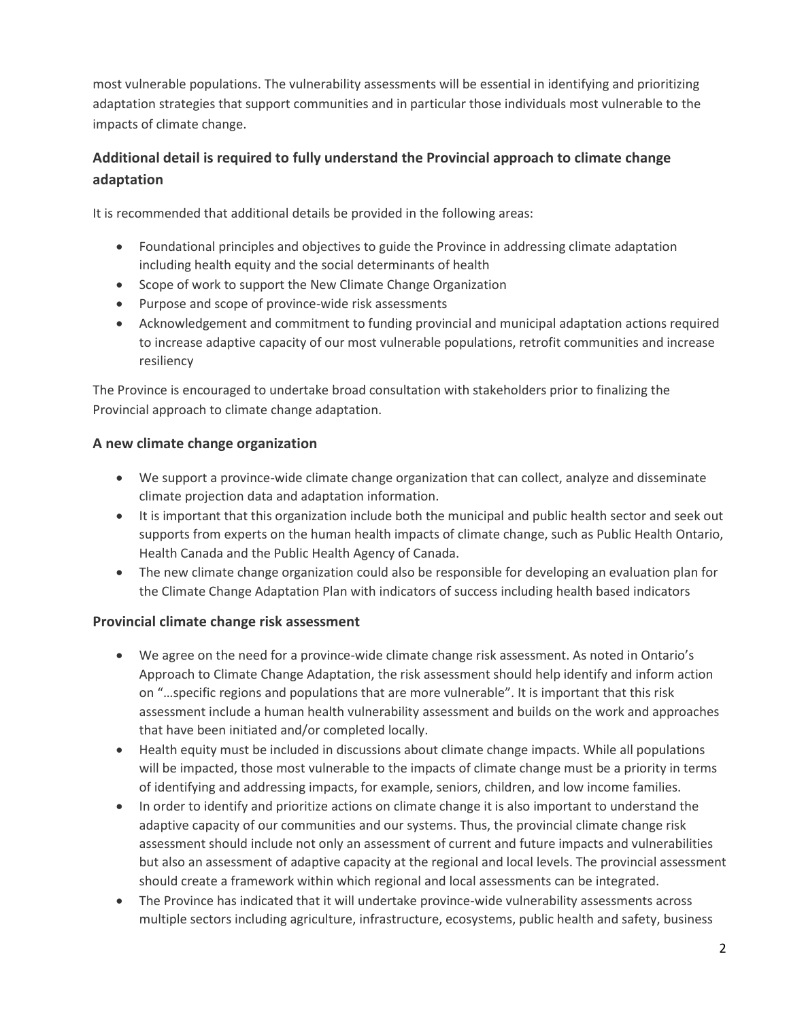most vulnerable populations. The vulnerability assessments will be essential in identifying and prioritizing adaptation strategies that support communities and in particular those individuals most vulnerable to the impacts of climate change.

# **Additional detail is required to fully understand the Provincial approach to climate change adaptation**

It is recommended that additional details be provided in the following areas:

- Foundational principles and objectives to guide the Province in addressing climate adaptation including health equity and the social determinants of health
- Scope of work to support the New Climate Change Organization
- Purpose and scope of province-wide risk assessments
- Acknowledgement and commitment to funding provincial and municipal adaptation actions required to increase adaptive capacity of our most vulnerable populations, retrofit communities and increase resiliency

The Province is encouraged to undertake broad consultation with stakeholders prior to finalizing the Provincial approach to climate change adaptation.

## **A new climate change organization**

- We support a province-wide climate change organization that can collect, analyze and disseminate climate projection data and adaptation information.
- It is important that this organization include both the municipal and public health sector and seek out supports from experts on the human health impacts of climate change, such as Public Health Ontario, Health Canada and the Public Health Agency of Canada.
- The new climate change organization could also be responsible for developing an evaluation plan for the Climate Change Adaptation Plan with indicators of success including health based indicators

#### **Provincial climate change risk assessment**

- We agree on the need for a province-wide climate change risk assessment. As noted in Ontario's Approach to Climate Change Adaptation, the risk assessment should help identify and inform action on "…specific regions and populations that are more vulnerable". It is important that this risk assessment include a human health vulnerability assessment and builds on the work and approaches that have been initiated and/or completed locally.
- Health equity must be included in discussions about climate change impacts. While all populations will be impacted, those most vulnerable to the impacts of climate change must be a priority in terms of identifying and addressing impacts, for example, seniors, children, and low income families.
- In order to identify and prioritize actions on climate change it is also important to understand the adaptive capacity of our communities and our systems. Thus, the provincial climate change risk assessment should include not only an assessment of current and future impacts and vulnerabilities but also an assessment of adaptive capacity at the regional and local levels. The provincial assessment should create a framework within which regional and local assessments can be integrated.
- The Province has indicated that it will undertake province-wide vulnerability assessments across multiple sectors including agriculture, infrastructure, ecosystems, public health and safety, business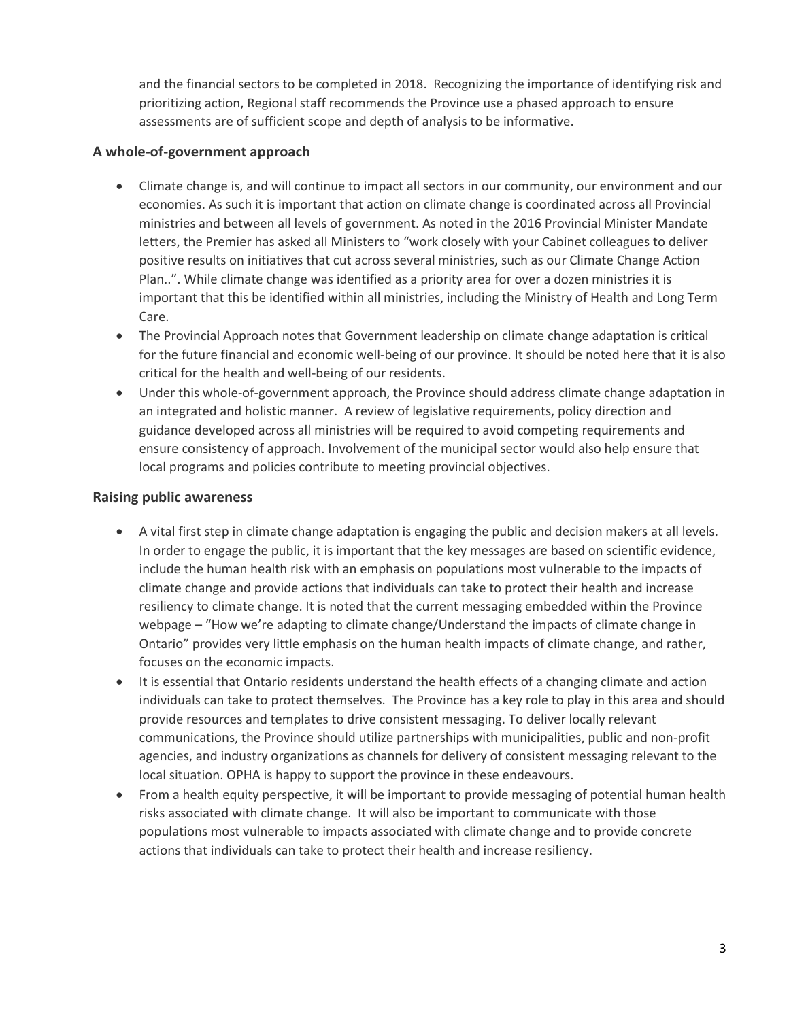and the financial sectors to be completed in 2018. Recognizing the importance of identifying risk and prioritizing action, Regional staff recommends the Province use a phased approach to ensure assessments are of sufficient scope and depth of analysis to be informative.

### **A whole-of-government approach**

- Climate change is, and will continue to impact all sectors in our community, our environment and our economies. As such it is important that action on climate change is coordinated across all Provincial ministries and between all levels of government. As noted in the 2016 Provincial Minister Mandate letters, the Premier has asked all Ministers to "work closely with your Cabinet colleagues to deliver positive results on initiatives that cut across several ministries, such as our Climate Change Action Plan..". While climate change was identified as a priority area for over a dozen ministries it is important that this be identified within all ministries, including the Ministry of Health and Long Term Care.
- The Provincial Approach notes that Government leadership on climate change adaptation is critical for the future financial and economic well-being of our province. It should be noted here that it is also critical for the health and well-being of our residents.
- Under this whole-of-government approach, the Province should address climate change adaptation in an integrated and holistic manner. A review of legislative requirements, policy direction and guidance developed across all ministries will be required to avoid competing requirements and ensure consistency of approach. Involvement of the municipal sector would also help ensure that local programs and policies contribute to meeting provincial objectives.

#### **Raising public awareness**

- A vital first step in climate change adaptation is engaging the public and decision makers at all levels. In order to engage the public, it is important that the key messages are based on scientific evidence, include the human health risk with an emphasis on populations most vulnerable to the impacts of climate change and provide actions that individuals can take to protect their health and increase resiliency to climate change. It is noted that the current messaging embedded within the Province webpage – "How we're adapting to climate change/Understand the impacts of climate change in Ontario" provides very little emphasis on the human health impacts of climate change, and rather, focuses on the economic impacts.
- It is essential that Ontario residents understand the health effects of a changing climate and action individuals can take to protect themselves. The Province has a key role to play in this area and should provide resources and templates to drive consistent messaging. To deliver locally relevant communications, the Province should utilize partnerships with municipalities, public and non-profit agencies, and industry organizations as channels for delivery of consistent messaging relevant to the local situation. OPHA is happy to support the province in these endeavours.
- From a health equity perspective, it will be important to provide messaging of potential human health risks associated with climate change. It will also be important to communicate with those populations most vulnerable to impacts associated with climate change and to provide concrete actions that individuals can take to protect their health and increase resiliency.